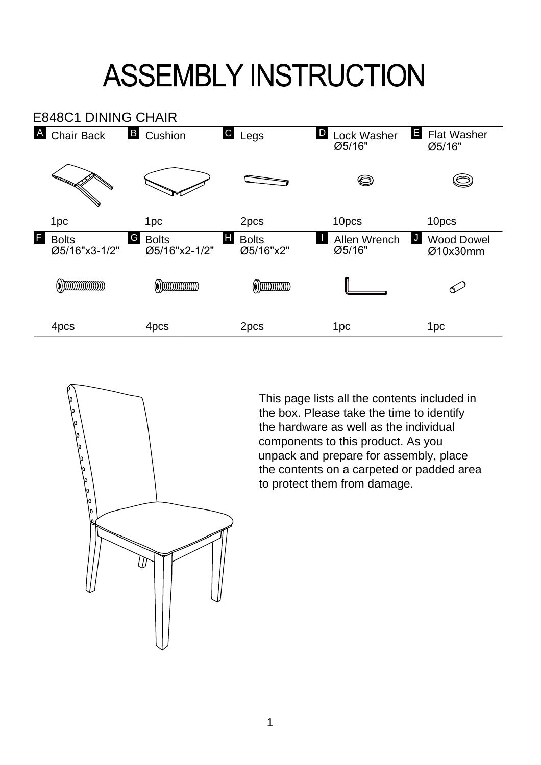## **ASSEMBLY INSTRUCTION**





This page lists all the contents included in the box. Please take the time to identify the hardware as well as the individual components to this product. As you unpack and prepare for assembly, place the contents on a carpeted or padded area to protect them from damage.